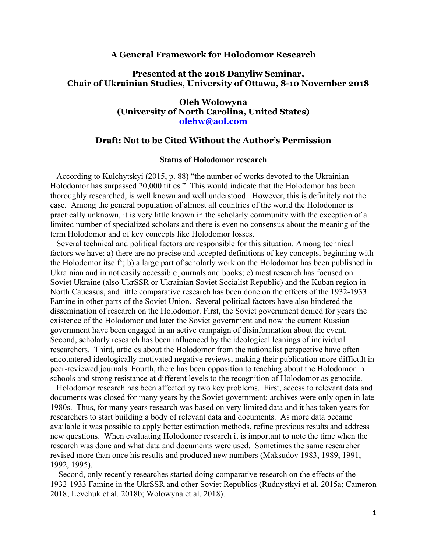### **A General Framework for Holodomor Research**

## **Presented at the 2018 Danyliw Seminar, Chair of Ukrainian Studies, University of Ottawa, 8-10 November 2018**

## **Oleh Wolowyna (University of North Carolina, United States) olehw@aol.com**

## **Draft: Not to be Cited Without the Author's Permission**

### **Status of Holodomor research**

 According to Kulchytskyi (2015, p. 88) "the number of works devoted to the Ukrainian Holodomor has surpassed 20,000 titles." This would indicate that the Holodomor has been thoroughly researched, is well known and well understood. However, this is definitely not the case. Among the general population of almost all countries of the world the Holodomor is practically unknown, it is very little known in the scholarly community with the exception of a limited number of specialized scholars and there is even no consensus about the meaning of the term Holodomor and of key concepts like Holodomor losses.

 Several technical and political factors are responsible for this situation. Among technical factors we have: a) there are no precise and accepted definitions of key concepts, beginning with the Holodomor itself<sup>1</sup>; b) a large part of scholarly work on the Holodomor has been published in Ukrainian and in not easily accessible journals and books; c) most research has focused on Soviet Ukraine (also UkrSSR or Ukrainian Soviet Socialist Republic) and the Kuban region in North Caucasus, and little comparative research has been done on the effects of the 1932-1933 Famine in other parts of the Soviet Union. Several political factors have also hindered the dissemination of research on the Holodomor. First, the Soviet government denied for years the existence of the Holodomor and later the Soviet government and now the current Russian government have been engaged in an active campaign of disinformation about the event. Second, scholarly research has been influenced by the ideological leanings of individual researchers. Third, articles about the Holodomor from the nationalist perspective have often encountered ideologically motivated negative reviews, making their publication more difficult in peer-reviewed journals. Fourth, there has been opposition to teaching about the Holodomor in schools and strong resistance at different levels to the recognition of Holodomor as genocide.

 Holodomor research has been affected by two key problems. First, access to relevant data and documents was closed for many years by the Soviet government; archives were only open in late 1980s. Thus, for many years research was based on very limited data and it has taken years for researchers to start building a body of relevant data and documents. As more data became available it was possible to apply better estimation methods, refine previous results and address new questions. When evaluating Holodomor research it is important to note the time when the research was done and what data and documents were used. Sometimes the same researcher revised more than once his results and produced new numbers (Maksudov 1983, 1989, 1991, 1992, 1995).

 Second, only recently researches started doing comparative research on the effects of the 1932-1933 Famine in the UkrSSR and other Soviet Republics (Rudnystkyi et al. 2015a; Cameron 2018; Levchuk et al. 2018b; Wolowyna et al. 2018).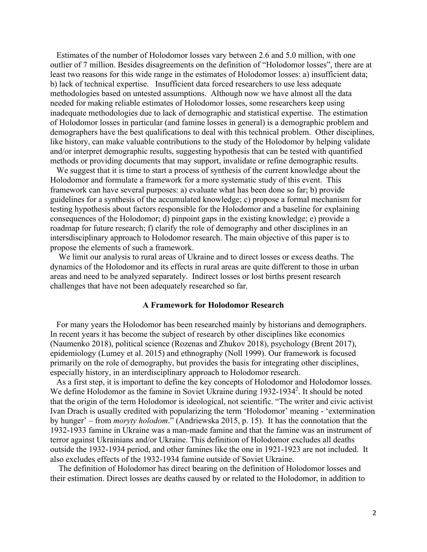Estimates of the number of Holodomor losses vary between 2.6 and 5.0 million, with one outlier of 7 million. Besides disagreements on the definition of "Holodomor losses", there are at least two reasons for this wide range in the estimates of Holodomor losses: a) insufficient data; b) lack of technical expertise. Insufficient data forced researchers to use less adequate methodologies based on untested assumptions. Although now we have almost all the data needed for making reliable estimates of Holodomor losses, some researchers keep using inadequate methodologies due to lack of demographic and statistical expertise. The estimation of Holodomor losses in particular (and famine losses in general) is a demographic problem and demographers have the best qualifications to deal with this technical problem. Other disciplines, like history, can make valuable contributions to the study of the Holodomor by helping validate and/or interpret demographic results, suggesting hypothesis that can be tested with quantified methods or providing documents that may support, invalidate or refine demographic results.

 We suggest that it is time to start a process of synthesis of the current knowledge about the Holodomor and formulate a framework for a more systematic study of this event. This framework can have several purposes: a) evaluate what has been done so far; b) provide guidelines for a synthesis of the accumulated knowledge; c) propose a formal mechanism for testing hypothesis about factors responsible for the Holodomor and a baseline for explaining consequences of the Holodomor; d) pinpoint gaps in the existing knowledge; e) provide a roadmap for future research; f) clarify the role of demography and other disciplines in an intersdisciplinary approach to Holodomor research. The main objective of this paper is to propose the elements of such a framework.

 We limit our analysis to rural areas of Ukraine and to direct losses or excess deaths. The dynamics of the Holodomor and its effects in rural areas are quite different to those in urban areas and need to be analyzed separately. Indirect losses or lost births present research challenges that have not been adequately researched so far.

### **A Framework for Holodomor Research**

 For many years the Holodomor has been researched mainly by historians and demographers. In recent years it has become the subject of research by other disciplines like economics (Naumenko 2018), political science (Rozenas and Zhukov 2018), psychology (Brent 2017), epidemiology (Lumey et al. 2015) and ethnography (Noll 1999). Our framework is focused primarily on the role of demography, but provides the basis for integrating other disciplines, especially history, in an interdisciplinary approach to Holodomor research.

 As a first step, it is important to define the key concepts of Holodomor and Holodomor losses. We define Holodomor as the famine in Soviet Ukraine during 1932-1934<sup>2</sup>. It should be noted that the origin of the term Holodomor is ideological, not scientific. "The writer and civic activist Ivan Drach is usually credited with popularizing the term 'Holodomor' meaning - 'extermination by hunger' – from *moryty holodom*." (Andriewska 2015, p. 15). It has the connotation that the 1932-1933 famine in Ukraine was a man-made famine and that the famine was an instrument of terror against Ukrainians and/or Ukraine. This definition of Holodomor excludes all deaths outside the 1932-1934 period, and other famines like the one in 1921-1923 are not included. It also excludes effects of the 1932-1934 famine outside of Soviet Ukraine.

 The definition of Holodomor has direct bearing on the definition of Holodomor losses and their estimation. Direct losses are deaths caused by or related to the Holodomor, in addition to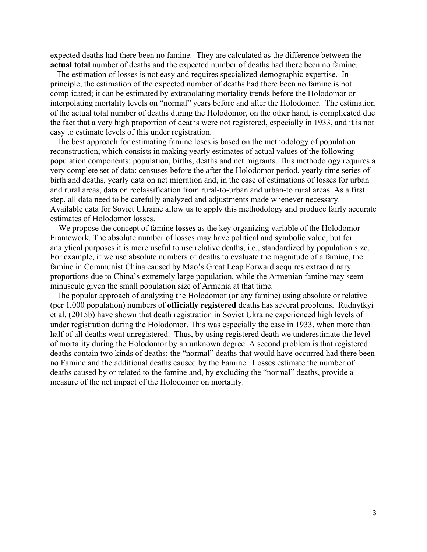expected deaths had there been no famine. They are calculated as the difference between the **actual total** number of deaths and the expected number of deaths had there been no famine.

 The estimation of losses is not easy and requires specialized demographic expertise. In principle, the estimation of the expected number of deaths had there been no famine is not complicated; it can be estimated by extrapolating mortality trends before the Holodomor or interpolating mortality levels on "normal" years before and after the Holodomor. The estimation of the actual total number of deaths during the Holodomor, on the other hand, is complicated due the fact that a very high proportion of deaths were not registered, especially in 1933, and it is not easy to estimate levels of this under registration.

 The best approach for estimating famine loses is based on the methodology of population reconstruction, which consists in making yearly estimates of actual values of the following population components: population, births, deaths and net migrants. This methodology requires a very complete set of data: censuses before the after the Holodomor period, yearly time series of birth and deaths, yearly data on net migration and, in the case of estimations of losses for urban and rural areas, data on reclassification from rural-to-urban and urban-to rural areas. As a first step, all data need to be carefully analyzed and adjustments made whenever necessary. Available data for Soviet Ukraine allow us to apply this methodology and produce fairly accurate estimates of Holodomor losses.

 We propose the concept of famine **losses** as the key organizing variable of the Holodomor Framework. The absolute number of losses may have political and symbolic value, but for analytical purposes it is more useful to use relative deaths, i.e., standardized by population size. For example, if we use absolute numbers of deaths to evaluate the magnitude of a famine, the famine in Communist China caused by Mao's Great Leap Forward acquires extraordinary proportions due to China's extremely large population, while the Armenian famine may seem minuscule given the small population size of Armenia at that time.

 The popular approach of analyzing the Holodomor (or any famine) using absolute or relative (per 1,000 population) numbers of **officially registered** deaths has several problems. Rudnytkyi et al. (2015b) have shown that death registration in Soviet Ukraine experienced high levels of under registration during the Holodomor. This was especially the case in 1933, when more than half of all deaths went unregistered. Thus, by using registered death we underestimate the level of mortality during the Holodomor by an unknown degree. A second problem is that registered deaths contain two kinds of deaths: the "normal" deaths that would have occurred had there been no Famine and the additional deaths caused by the Famine. Losses estimate the number of deaths caused by or related to the famine and, by excluding the "normal" deaths, provide a measure of the net impact of the Holodomor on mortality.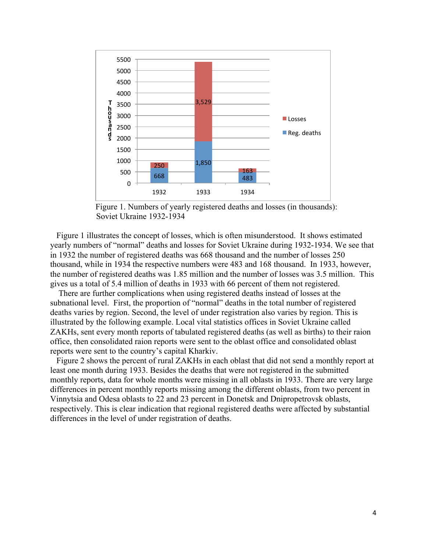

 Figure 1. Numbers of yearly registered deaths and losses (in thousands): Soviet Ukraine 1932-1934

 Figure 1 illustrates the concept of losses, which is often misunderstood. It shows estimated yearly numbers of "normal" deaths and losses for Soviet Ukraine during 1932-1934. We see that in 1932 the number of registered deaths was 668 thousand and the number of losses 250 thousand, while in 1934 the respective numbers were 483 and 168 thousand. In 1933, however, the number of registered deaths was 1.85 million and the number of losses was 3.5 million. This gives us a total of 5.4 million of deaths in 1933 with 66 percent of them not registered.

 There are further complications when using registered deaths instead of losses at the subnational level. First, the proportion of "normal" deaths in the total number of registered deaths varies by region. Second, the level of under registration also varies by region. This is illustrated by the following example. Local vital statistics offices in Soviet Ukraine called ZAKHs, sent every month reports of tabulated registered deaths (as well as births) to their raion office, then consolidated raion reports were sent to the oblast office and consolidated oblast reports were sent to the country's capital Kharkiv.

 Figure 2 shows the percent of rural ZAKHs in each oblast that did not send a monthly report at least one month during 1933. Besides the deaths that were not registered in the submitted monthly reports, data for whole months were missing in all oblasts in 1933. There are very large differences in percent monthly reports missing among the different oblasts, from two percent in Vinnytsia and Odesa oblasts to 22 and 23 percent in Donetsk and Dnipropetrovsk oblasts, respectively. This is clear indication that regional registered deaths were affected by substantial differences in the level of under registration of deaths.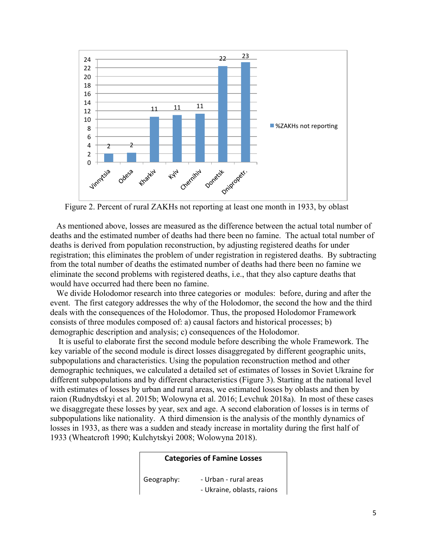

Figure 2. Percent of rural ZAKHs not reporting at least one month in 1933, by oblast

 As mentioned above, losses are measured as the difference between the actual total number of deaths and the estimated number of deaths had there been no famine. The actual total number of deaths is derived from population reconstruction, by adjusting registered deaths for under registration; this eliminates the problem of under registration in registered deaths. By subtracting from the total number of deaths the estimated number of deaths had there been no famine we eliminate the second problems with registered deaths, i.e., that they also capture deaths that would have occurred had there been no famine.

 We divide Holodomor research into three categories or modules: before, during and after the event. The first category addresses the why of the Holodomor, the second the how and the third deals with the consequences of the Holodomor. Thus, the proposed Holodomor Framework consists of three modules composed of: a) causal factors and historical processes; b) demographic description and analysis; c) consequences of the Holodomor.

 It is useful to elaborate first the second module before describing the whole Framework. The key variable of the second module is direct losses disaggregated by different geographic units, subpopulations and characteristics. Using the population reconstruction method and other demographic techniques, we calculated a detailed set of estimates of losses in Soviet Ukraine for different subpopulations and by different characteristics (Figure 3). Starting at the national level with estimates of losses by urban and rural areas, we estimated losses by oblasts and then by raion (Rudnydtskyi et al. 2015b; Wolowyna et al. 2016; Levchuk 2018a). In most of these cases we disaggregate these losses by year, sex and age. A second elaboration of losses is in terms of subpopulations like nationality. A third dimension is the analysis of the monthly dynamics of losses in 1933, as there was a sudden and steady increase in mortality during the first half of 1933 (Wheatcroft 1990; Kulchytskyi 2008; Wolowyna 2018).

### **Categories of Famine Losses**

Geography: - Urban - rural areas - Ukraine, oblasts, raions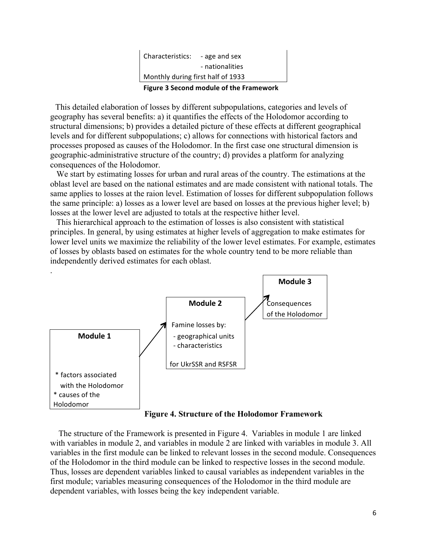|                                   | .               |
|-----------------------------------|-----------------|
| Monthly during first half of 1933 |                 |
|                                   | - nationalities |
| Characteristics:                  | - age and sex   |

**Figure 3 Second module of the Framework**

 This detailed elaboration of losses by different subpopulations, categories and levels of geography has several benefits: a) it quantifies the effects of the Holodomor according to structural dimensions; b) provides a detailed picture of these effects at different geographical levels and for different subpopulations; c) allows for connections with historical factors and processes proposed as causes of the Holodomor. In the first case one structural dimension is geographic-administrative structure of the country; d) provides a platform for analyzing consequences of the Holodomor.

 We start by estimating losses for urban and rural areas of the country. The estimations at the oblast level are based on the national estimates and are made consistent with national totals. The same applies to losses at the raion level. Estimation of losses for different subpopulation follows the same principle: a) losses as a lower level are based on losses at the previous higher level; b) losses at the lower level are adjusted to totals at the respective hither level.

 This hierarchical approach to the estimation of losses is also consistent with statistical principles. In general, by using estimates at higher levels of aggregation to make estimates for lower level units we maximize the reliability of the lower level estimates. For example, estimates of losses by oblasts based on estimates for the whole country tend to be more reliable than independently derived estimates for each oblast.



**Figure 4. Structure of the Holodomor Framework**

 The structure of the Framework is presented in Figure 4. Variables in module 1 are linked with variables in module 2, and variables in module 2 are linked with variables in module 3. All variables in the first module can be linked to relevant losses in the second module. Consequences of the Holodomor in the third module can be linked to respective losses in the second module. Thus, losses are dependent variables linked to causal variables as independent variables in the first module; variables measuring consequences of the Holodomor in the third module are dependent variables, with losses being the key independent variable.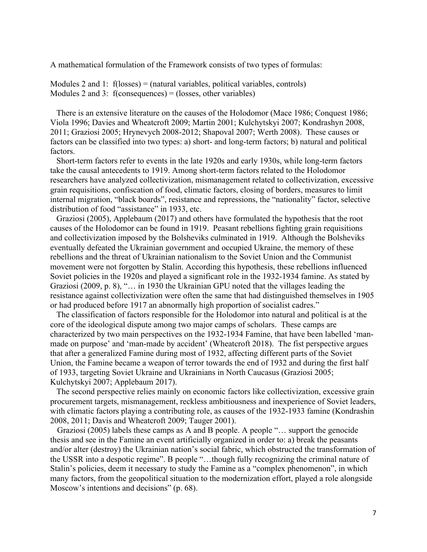A mathematical formulation of the Framework consists of two types of formulas:

Modules 2 and 1:  $f(\text{losses}) = (\text{natural variables}, \text{polritical variables}, \text{controls})$ Modules 2 and 3: f(consequences) = (losses, other variables)

 There is an extensive literature on the causes of the Holodomor (Mace 1986; Conquest 1986; Viola 1996; Davies and Wheatcroft 2009; Martin 2001; Kulchytskyi 2007; Kondrashyn 2008, 2011; Graziosi 2005; Hrynevych 2008-2012; Shapoval 2007; Werth 2008). These causes or factors can be classified into two types: a) short- and long-term factors; b) natural and political factors.

 Short-term factors refer to events in the late 1920s and early 1930s, while long-term factors take the causal antecedents to 1919. Among short-term factors related to the Holodomor researchers have analyzed collectivization, mismanagement related to collectivization, excessive grain requisitions, confiscation of food, climatic factors, closing of borders, measures to limit internal migration, "black boards", resistance and repressions, the "nationality" factor, selective distribution of food "assistance" in 1933, etc.

 Graziosi (2005), Applebaum (2017) and others have formulated the hypothesis that the root causes of the Holodomor can be found in 1919. Peasant rebellions fighting grain requisitions and collectivization imposed by the Bolsheviks culminated in 1919. Although the Bolsheviks eventually defeated the Ukrainian government and occupied Ukraine, the memory of these rebellions and the threat of Ukrainian nationalism to the Soviet Union and the Communist movement were not forgotten by Stalin. According this hypothesis, these rebellions influenced Soviet policies in the 1920s and played a significant role in the 1932-1934 famine. As stated by Graziosi (2009, p. 8), "… in 1930 the Ukrainian GPU noted that the villages leading the resistance against collectivization were often the same that had distinguished themselves in 1905 or had produced before 1917 an abnormally high proportion of socialist cadres."

 The classification of factors responsible for the Holodomor into natural and political is at the core of the ideological dispute among two major camps of scholars. These camps are characterized by two main perspectives on the 1932-1934 Famine, that have been labelled 'manmade on purpose' and 'man-made by accident' (Wheatcroft 2018). The fist perspective argues that after a generalized Famine during most of 1932, affecting different parts of the Soviet Union, the Famine became a weapon of terror towards the end of 1932 and during the first half of 1933, targeting Soviet Ukraine and Ukrainians in North Caucasus (Graziosi 2005; Kulchytskyi 2007; Applebaum 2017).

 The second perspective relies mainly on economic factors like collectivization, excessive grain procurement targets, mismanagement, reckless ambitiousness and inexperience of Soviet leaders, with climatic factors playing a contributing role, as causes of the 1932-1933 famine (Kondrashin 2008, 2011; Davis and Wheatcroft 2009; Tauger 2001).

 Graziosi (2005) labels these camps as A and B people. A people "… support the genocide thesis and see in the Famine an event artificially organized in order to: a) break the peasants and/or alter (destroy) the Ukrainian nation's social fabric, which obstructed the transformation of the USSR into a despotic regime". B people "…though fully recognizing the criminal nature of Stalin's policies, deem it necessary to study the Famine as a "complex phenomenon", in which many factors, from the geopolitical situation to the modernization effort, played a role alongside Moscow's intentions and decisions" (p. 68).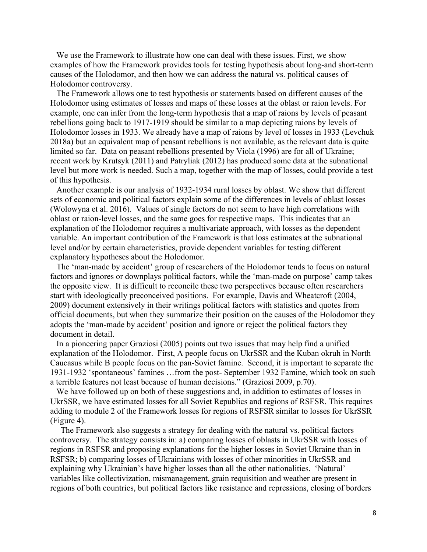We use the Framework to illustrate how one can deal with these issues. First, we show examples of how the Framework provides tools for testing hypothesis about long-and short-term causes of the Holodomor, and then how we can address the natural vs. political causes of Holodomor controversy.

 The Framework allows one to test hypothesis or statements based on different causes of the Holodomor using estimates of losses and maps of these losses at the oblast or raion levels. For example, one can infer from the long-term hypothesis that a map of raions by levels of peasant rebellions going back to 1917-1919 should be similar to a map depicting raions by levels of Holodomor losses in 1933. We already have a map of raions by level of losses in 1933 (Levchuk 2018a) but an equivalent map of peasant rebellions is not available, as the relevant data is quite limited so far. Data on peasant rebellions presented by Viola (1996) are for all of Ukraine; recent work by Krutsyk (2011) and Patryliak (2012) has produced some data at the subnational level but more work is needed. Such a map, together with the map of losses, could provide a test of this hypothesis.

 Another example is our analysis of 1932-1934 rural losses by oblast. We show that different sets of economic and political factors explain some of the differences in levels of oblast losses (Wolowyna et al. 2016). Values of single factors do not seem to have high correlations with oblast or raion-level losses, and the same goes for respective maps. This indicates that an explanation of the Holodomor requires a multivariate approach, with losses as the dependent variable. An important contribution of the Framework is that loss estimates at the subnational level and/or by certain characteristics, provide dependent variables for testing different explanatory hypotheses about the Holodomor.

The 'man-made by accident' group of researchers of the Holodomor tends to focus on natural factors and ignores or downplays political factors, while the 'man-made on purpose' camp takes the opposite view. It is difficult to reconcile these two perspectives because often researchers start with ideologically preconceived positions. For example, Davis and Wheatcroft (2004, 2009) document extensively in their writings political factors with statistics and quotes from official documents, but when they summarize their position on the causes of the Holodomor they adopts the 'man-made by accident' position and ignore or reject the political factors they document in detail.

 In a pioneering paper Graziosi (2005) points out two issues that may help find a unified explanation of the Holodomor. First, A people focus on UkrSSR and the Kuban okruh in North Caucasus while B people focus on the pan-Soviet famine. Second, it is important to separate the 1931-1932 'spontaneous' famines …from the post- September 1932 Famine, which took on such a terrible features not least because of human decisions." (Graziosi 2009, p.70).

We have followed up on both of these suggestions and, in addition to estimates of losses in UkrSSR, we have estimated losses for all Soviet Republics and regions of RSFSR. This requires adding to module 2 of the Framework losses for regions of RSFSR similar to losses for UkrSSR (Figure 4).

 The Framework also suggests a strategy for dealing with the natural vs. political factors controversy. The strategy consists in: a) comparing losses of oblasts in UkrSSR with losses of regions in RSFSR and proposing explanations for the higher losses in Soviet Ukraine than in RSFSR; b) comparing losses of Ukrainians with losses of other minorities in UkrSSR and explaining why Ukrainian's have higher losses than all the other nationalities. 'Natural' variables like collectivization, mismanagement, grain requisition and weather are present in regions of both countries, but political factors like resistance and repressions, closing of borders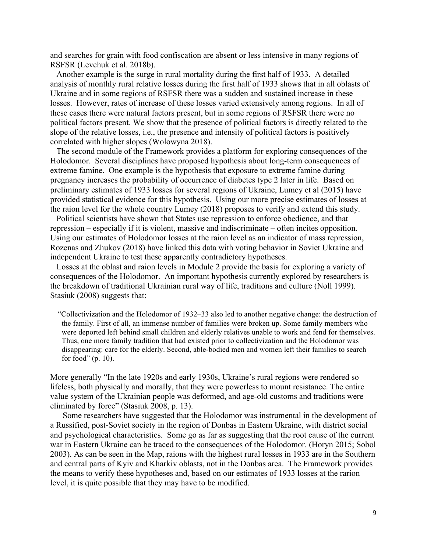and searches for grain with food confiscation are absent or less intensive in many regions of RSFSR (Levchuk et al. 2018b).

 Another example is the surge in rural mortality during the first half of 1933. A detailed analysis of monthly rural relative losses during the first half of 1933 shows that in all oblasts of Ukraine and in some regions of RSFSR there was a sudden and sustained increase in these losses. However, rates of increase of these losses varied extensively among regions. In all of these cases there were natural factors present, but in some regions of RSFSR there were no political factors present. We show that the presence of political factors is directly related to the slope of the relative losses, i.e., the presence and intensity of political factors is positively correlated with higher slopes (Wolowyna 2018).

 The second module of the Framework provides a platform for exploring consequences of the Holodomor. Several disciplines have proposed hypothesis about long-term consequences of extreme famine. One example is the hypothesis that exposure to extreme famine during pregnancy increases the probability of occurrence of diabetes type 2 later in life. Based on preliminary estimates of 1933 losses for several regions of Ukraine, Lumey et al (2015) have provided statistical evidence for this hypothesis. Using our more precise estimates of losses at the raion level for the whole country Lumey (2018) proposes to verify and extend this study.

 Political scientists have shown that States use repression to enforce obedience, and that repression – especially if it is violent, massive and indiscriminate – often incites opposition. Using our estimates of Holodomor losses at the raion level as an indicator of mass repression, Rozenas and Zhukov (2018) have linked this data with voting behavior in Soviet Ukraine and independent Ukraine to test these apparently contradictory hypotheses.

 Losses at the oblast and raion levels in Module 2 provide the basis for exploring a variety of consequences of the Holodomor. An important hypothesis currently explored by researchers is the breakdown of traditional Ukrainian rural way of life, traditions and culture (Noll 1999). Stasiuk (2008) suggests that:

 "Collectivization and the Holodomor of 1932–33 also led to another negative change: the destruction of the family. First of all, an immense number of families were broken up. Some family members who were deported left behind small children and elderly relatives unable to work and fend for themselves. Thus, one more family tradition that had existed prior to collectivization and the Holodomor was disappearing: care for the elderly. Second, able-bodied men and women left their families to search for food" (p. 10).

More generally "In the late 1920s and early 1930s, Ukraine's rural regions were rendered so lifeless, both physically and morally, that they were powerless to mount resistance. The entire value system of the Ukrainian people was deformed, and age-old customs and traditions were eliminated by force" (Stasiuk 2008, p. 13).

 Some researchers have suggested that the Holodomor was instrumental in the development of a Russified, post-Soviet society in the region of Donbas in Eastern Ukraine, with district social and psychological characteristics. Some go as far as suggesting that the root cause of the current war in Eastern Ukraine can be traced to the consequences of the Holodomor. (Horyn 2015; Sobol 2003). As can be seen in the Map, raions with the highest rural losses in 1933 are in the Southern and central parts of Kyiv and Kharkiv oblasts, not in the Donbas area. The Framework provides the means to verify these hypotheses and, based on our estimates of 1933 losses at the rarion level, it is quite possible that they may have to be modified.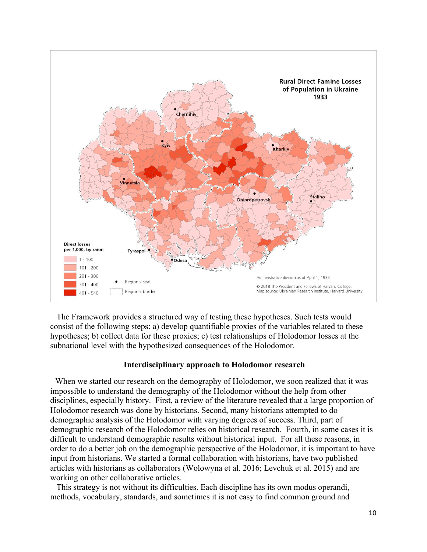

 The Framework provides a structured way of testing these hypotheses. Such tests would consist of the following steps: a) develop quantifiable proxies of the variables related to these hypotheses; b) collect data for these proxies; c) test relationships of Holodomor losses at the subnational level with the hypothesized consequences of the Holodomor.

### **Interdisciplinary approach to Holodomor research**

 When we started our research on the demography of Holodomor, we soon realized that it was impossible to understand the demography of the Holodomor without the help from other disciplines, especially history. First, a review of the literature revealed that a large proportion of Holodomor research was done by historians. Second, many historians attempted to do demographic analysis of the Holodomor with varying degrees of success. Third, part of demographic research of the Holodomor relies on historical research. Fourth, in some cases it is difficult to understand demographic results without historical input. For all these reasons, in order to do a better job on the demographic perspective of the Holodomor, it is important to have input from historians. We started a formal collaboration with historians, have two published articles with historians as collaborators (Wolowyna et al. 2016; Levchuk et al. 2015) and are working on other collaborative articles.

 This strategy is not without its difficulties. Each discipline has its own modus operandi, methods, vocabulary, standards, and sometimes it is not easy to find common ground and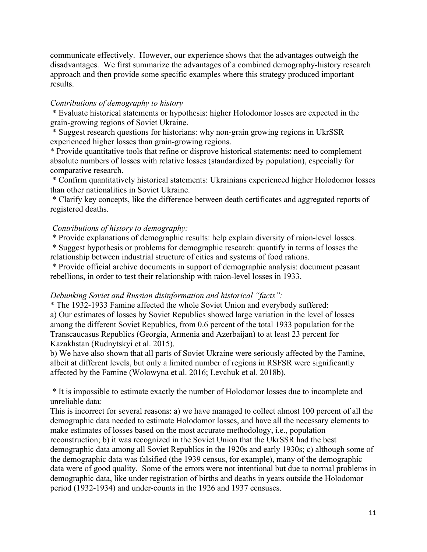communicate effectively. However, our experience shows that the advantages outweigh the disadvantages. We first summarize the advantages of a combined demography-history research approach and then provide some specific examples where this strategy produced important results.

## *Contributions of demography to history*

\* Evaluate historical statements or hypothesis: higher Holodomor losses are expected in the grain-growing regions of Soviet Ukraine.

\* Suggest research questions for historians: why non-grain growing regions in UkrSSR experienced higher losses than grain-growing regions.

\* Provide quantitative tools that refine or disprove historical statements: need to complement absolute numbers of losses with relative losses (standardized by population), especially for comparative research.

\* Confirm quantitatively historical statements: Ukrainians experienced higher Holodomor losses than other nationalities in Soviet Ukraine.

\* Clarify key concepts, like the difference between death certificates and aggregated reports of registered deaths.

# *Contributions of history to demography:*

\* Provide explanations of demographic results: help explain diversity of raion-level losses.

\* Suggest hypothesis or problems for demographic research: quantify in terms of losses the relationship between industrial structure of cities and systems of food rations.

\* Provide official archive documents in support of demographic analysis: document peasant rebellions, in order to test their relationship with raion-level losses in 1933.

## *Debunking Soviet and Russian disinformation and historical "facts":*

\* The 1932-1933 Famine affected the whole Soviet Union and everybody suffered: a) Our estimates of losses by Soviet Republics showed large variation in the level of losses among the different Soviet Republics, from 0.6 percent of the total 1933 population for the Transcaucasus Republics (Georgia, Armenia and Azerbaijan) to at least 23 percent for Kazakhstan (Rudnytskyi et al. 2015).

b) We have also shown that all parts of Soviet Ukraine were seriously affected by the Famine, albeit at different levels, but only a limited number of regions in RSFSR were significantly affected by the Famine (Wolowyna et al. 2016; Levchuk et al. 2018b).

\* It is impossible to estimate exactly the number of Holodomor losses due to incomplete and unreliable data:

This is incorrect for several reasons: a) we have managed to collect almost 100 percent of all the demographic data needed to estimate Holodomor losses, and have all the necessary elements to make estimates of losses based on the most accurate methodology, i.e., population reconstruction; b) it was recognized in the Soviet Union that the UkrSSR had the best demographic data among all Soviet Republics in the 1920s and early 1930s; c) although some of the demographic data was falsified (the 1939 census, for example), many of the demographic data were of good quality. Some of the errors were not intentional but due to normal problems in demographic data, like under registration of births and deaths in years outside the Holodomor period (1932-1934) and under-counts in the 1926 and 1937 censuses.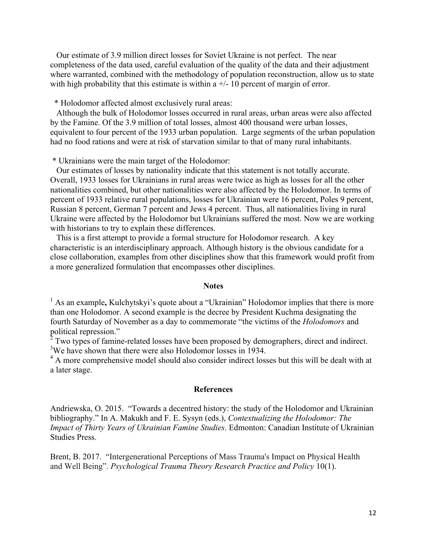Our estimate of 3.9 million direct losses for Soviet Ukraine is not perfect. The near completeness of the data used, careful evaluation of the quality of the data and their adjustment where warranted, combined with the methodology of population reconstruction, allow us to state with high probability that this estimate is within a  $+/-10$  percent of margin of error.

\* Holodomor affected almost exclusively rural areas:

 Although the bulk of Holodomor losses occurred in rural areas, urban areas were also affected by the Famine. Of the 3.9 million of total losses, almost 400 thousand were urban losses, equivalent to four percent of the 1933 urban population. Large segments of the urban population had no food rations and were at risk of starvation similar to that of many rural inhabitants.

\* Ukrainians were the main target of the Holodomor:

 Our estimates of losses by nationality indicate that this statement is not totally accurate. Overall, 1933 losses for Ukrainians in rural areas were twice as high as losses for all the other nationalities combined, but other nationalities were also affected by the Holodomor. In terms of percent of 1933 relative rural populations, losses for Ukrainian were 16 percent, Poles 9 percent, Russian 8 percent, German 7 percent and Jews 4 percent. Thus, all nationalities living in rural Ukraine were affected by the Holodomor but Ukrainians suffered the most. Now we are working with historians to try to explain these differences.

 This is a first attempt to provide a formal structure for Holodomor research. A key characteristic is an interdisciplinary approach. Although history is the obvious candidate for a close collaboration, examples from other disciplines show that this framework would profit from a more generalized formulation that encompasses other disciplines.

### **Notes**

<sup>1</sup> As an example, Kulchytskyi's quote about a "Ukrainian" Holodomor implies that there is more than one Holodomor. A second example is the decree by President Kuchma designating the fourth Saturday of November as a day to commemorate "the victims of the *Holodomors* and political repression."

 $2$  Two types of famine-related losses have been proposed by demographers, direct and indirect. <sup>3</sup>We have shown that there were also Holodomor losses in 1934.

<sup>4</sup> A more comprehensive model should also consider indirect losses but this will be dealt with at a later stage.

#### **References**

Andriewska, O. 2015. "Towards a decentred history: the study of the Holodomor and Ukrainian bibliography." In A. Makukh and F. E. Sysyn (eds.), *Contextualizing the Holodomor: The Impact of Thirty Years of Ukrainian Famine Studies*. Edmonton: Canadian Institute of Ukrainian Studies Press.

Brent, B. 2017. "Intergenerational Perceptions of Mass Trauma's Impact on Physical Health and Well Being". *Psychological Trauma Theory Research Practice and Policy* 10(1).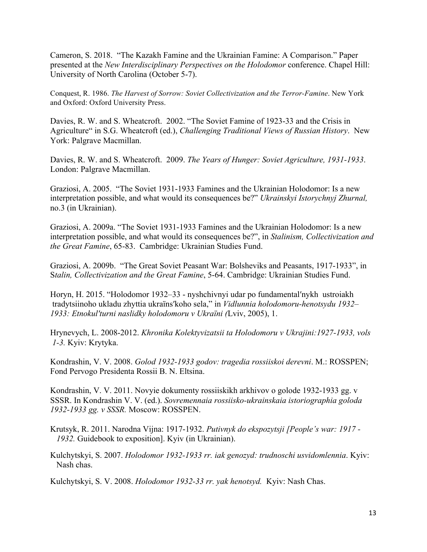Cameron, S. 2018. "The Kazakh Famine and the Ukrainian Famine: A Comparison." Paper presented at the *New Interdisciplinary Perspectives on the Holodomor* conference. Chapel Hill: University of North Carolina (October 5-7).

Conquest, R. 1986. *The Harvest of Sorrow: Soviet Collectivization and the Terror-Famine*. New York and Oxford: Oxford University Press.

Davies, R. W. and S. Wheatcroft. 2002. "The Soviet Famine of 1923-33 and the Crisis in Agriculture" in S.G. Wheatcroft (ed.), *Challenging Traditional Views of Russian History*. New York: Palgrave Macmillan.

Davies, R. W. and S. Wheatcroft. 2009. *The Years of Hunger: Soviet Agriculture, 1931-1933*. London: Palgrave Macmillan.

Graziosi, A. 2005. "The Soviet 1931-1933 Famines and the Ukrainian Holodomor: Is a new interpretation possible, and what would its consequences be?" *Ukrainskyi Istorychnyj Zhurnal,* no.3 (in Ukrainian).

Graziosi, A. 2009a. "The Soviet 1931-1933 Famines and the Ukrainian Holodomor: Is a new interpretation possible, and what would its consequences be?", in *Stalinism, Collectivization and the Great Famine*, 65-83. Cambridge: Ukrainian Studies Fund.

Graziosi, A. 2009b. "The Great Soviet Peasant War: Bolsheviks and Peasants, 1917-1933", in S*talin, Collectivization and the Great Famine*, 5-64. Cambridge: Ukrainian Studies Fund.

Horyn, H. 2015. "Holodomor 1932–33 - nyshchivnyi udar po fundamental′nykh ustroiakh tradytsiinoho ukladu zhyttia ukraïns′koho sela," in *Vidlunnia holodomoru-henotsydu 1932– 1933: Etnokul′turni naslidky holodomoru v Ukraïni (*Lviv, 2005), 1.

Hrynevych, L. 2008-2012. *Khronika Kolektyvizatsii ta Holodomoru v Ukrajini:1927-1933, vols 1-3.* Kyiv: Krytyka.

Kondrashin, V. V. 2008. *Golod 1932-1933 godov: tragedia rossiiskoi derevni*. M.: ROSSPEN; Fond Pervogo Presidenta Rossii B. N. Eltsina.

Kondrashin, V. V. 2011. Novyie dokumenty rossiiskikh arkhivov o golode 1932-1933 gg. v SSSR. In Kondrashin V. V. (ed.). *Sovremennaia rossiisko-ukrainskaia istoriographia goloda 1932-1933 gg. v SSSR.* Moscow: ROSSPEN.

Krutsyk, R. 2011. Narodna Vijna: 1917-1932. *Putivnyk do ekspozytsji [People's war: 1917 - 1932.* Guidebook to exposition]. Kyiv (in Ukrainian).

Kulchytskyi, S. 2007. *Holodomor 1932-1933 rr. iak genozyd: trudnoschi usvidomlennia*. Kyiv: Nash chas.

Kulchytskyi, S. V. 2008. *Holodomor 1932-33 rr. yak henotsyd.* Kyiv: Nash Chas.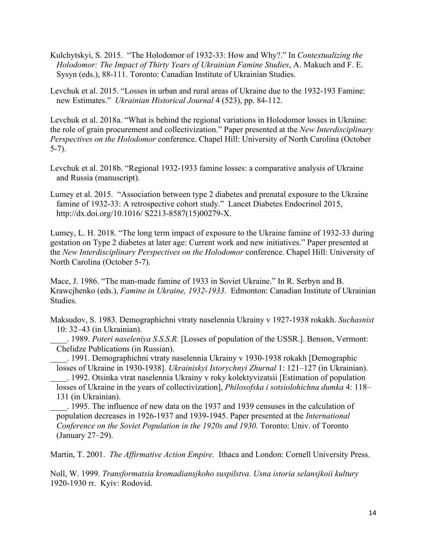Kulchytskyi, S. 2015. "The Holodomor of 1932-33: How and Why?." In *Contextualizing the Holodomor: The Impact of Thirty Years of Ukrainian Famine Studies*, A. Makuch and F. E. Sysyn (eds.), 88-111. Toronto: Canadian Institute of Ukrainian Studies.

Levchuk et al. 2015. "Losses in urban and rural areas of Ukraine due to the 1932-193 Famine: new Estimates." *Ukrainian Historical Journal* 4 (523), pp. 84-112.

Levchuk et al. 2018a. "What is behind the regional variations in Holodomor losses in Ukraine: the role of grain procurement and collectivization." Paper presented at the *New Interdisciplinary Perspectives on the Holodomor* conference. Chapel Hill: University of North Carolina (October 5-7).

- Levchuk et al. 2018b. "Regional 1932-1933 famine losses: a comparative analysis of Ukraine and Russia (manuscript).
- Lumey et al. 2015. "Association between type 2 diabetes and prenatal exposure to the Ukraine famine of 1932-33: A retrospective cohort study." Lancet Diabetes Endocrinol 2015, http://dx.doi.org/10.1016/ S2213-8587(15)00279-X.

Lumey, L. H. 2018. "The long term impact of exposure to the Ukraine famine of 1932-33 during gestation on Type 2 diabetes at later age: Current work and new initiatives." Paper presented at the *New Interdisciplinary Perspectives on the Holodomor* conference. Chapel Hill: University of North Carolina (October 5-7).

Mace, J. 1986. "The man-made famine of 1933 in Soviet Ukraine." In R. Serbyn and B. Krawcjhenko (eds.), *Famine in Ukraine, 1932-1933*. Edmonton: Canadian Institute of Ukrainian Studies.

Maksudov, S. 1983. Demographichni vtraty naselennia Ukrainy v 1927-1938 rokakh. *Suchasnist* 10: 32*–*43 (in Ukrainian).

 . 1989. *Poteri naseleniya S.S.S.R.* [Losses of population of the USSR.]. Benson, Vermont: Chelidze Publications (in Russian).

 . 1991. Demographichni vtraty naselennia Ukrainy v 1930-1938 rokakh [Demographic losses of Ukraine in 1930-1938]. *Ukrainiskyi Istorychnyi Zhurnal* 1: 121*–*127 (in Ukrainian).

. 1992. Otsinka vtrat naselennia Ukrainy v roky kolektyvizatsii [Estimation of population

losses of Ukraine in the years of collectivization], *Philosofska i sotsiolohichna dumka* 4: 118*–* 131 (in Ukrainian).

 . 1995. The influence of new data on the 1937 and 1939 censuses in the calculation of population decreases in 1926-1937 and 1939-1945. Paper presented at the *International Conference on the Soviet Population in the 1920s and 1930. Toronto: Univ. of Toronto* (January 27*–*29).

Martin, T. 2001. *The Affirmative Action Empire.* Ithaca and London: Cornell University Press.

Noll, W. 1999. *Transformatsia kromadiansjkoho suspilstva. Usna istoria selansjkoii kultury* 1920-1930 rr. Kyiv: Rodovid.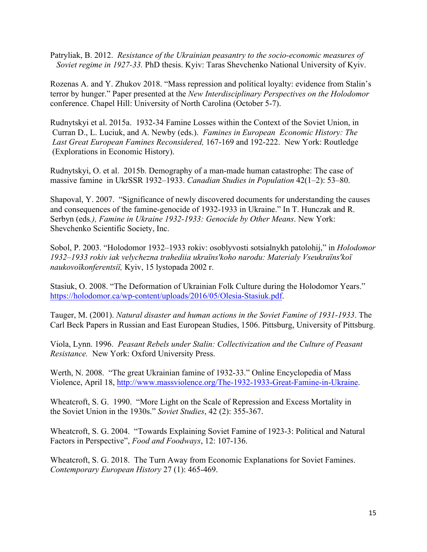Patryliak, B. 2012. *Resistance of the Ukrainian peasantry to the socio-economic measures of Soviet regime in 1927-33.* PhD thesis. Kyiv: Taras Shevchenko National University of Kyiv.

Rozenas A. and Y. Zhukov 2018. "Mass repression and political loyalty: evidence from Stalin's terror by hunger." Paper presented at the *New Interdisciplinary Perspectives on the Holodomor* conference. Chapel Hill: University of North Carolina (October 5-7).

Rudnytskyi et al. 2015a. 1932-34 Famine Losses within the Context of the Soviet Union, in Curran D., L. Luciuk, and A. Newby (eds.). *Famines in European Economic History: The Last Great European Famines Reconsidered,* 167-169 and 192-222. New York: Routledge (Explorations in Economic History).

Rudnytskyi, O. et al. 2015b. Demography of a man-made human catastrophe: The case of massive famine in UkrSSR 1932–1933. *Canadian Studies in Population* 42(1–2): 53–80.

Shapoval, Y. 2007. "Significance of newly discovered documents for understanding the causes and consequences of the famine-genocide of 1932-1933 in Ukraine." In T. Hunczak and R. Serbyn (eds*.), Famine in Ukraine 1932-1933: Genocide by Other Means*. New York: Shevchenko Scientific Society, Inc.

Sobol, P. 2003. "Holodomor 1932–1933 rokiv: osoblyvosti sotsialnykh patolohij," in *Holodomor 1932–1933 rokiv iak velychezna trahediia ukraïns′koho narodu: Materialy Vseukraïns′koï naukovoïkonferentsiï,* Kyiv, 15 lystopada 2002 r.

Stasiuk, O. 2008. "The Deformation of Ukrainian Folk Culture during the Holodomor Years." https://holodomor.ca/wp-content/uploads/2016/05/Olesia-Stasiuk.pdf.

Tauger, M. (2001). *Natural disaster and human actions in the Soviet Famine of 1931-1933*. The Carl Beck Papers in Russian and East European Studies, 1506. Pittsburg, University of Pittsburg.

Viola, Lynn. 1996. *Peasant Rebels under Stalin: Collectivization and the Culture of Peasant Resistance.* New York: Oxford University Press.

Werth, N. 2008. "The great Ukrainian famine of 1932-33." Online Encyclopedia of Mass Violence, April 18, http://www.massviolence.org/The-1932-1933-Great-Famine-in-Ukraine.

Wheatcroft, S. G. 1990. "More Light on the Scale of Repression and Excess Mortality in the Soviet Union in the 1930s." *Soviet Studies*, 42 (2): 355-367.

Wheatcroft, S. G. 2004. "Towards Explaining Soviet Famine of 1923-3: Political and Natural Factors in Perspective", *Food and Foodways*, 12: 107-136.

Wheatcroft, S. G. 2018. The Turn Away from Economic Explanations for Soviet Famines. *Contemporary European History* 27 (1): 465-469.